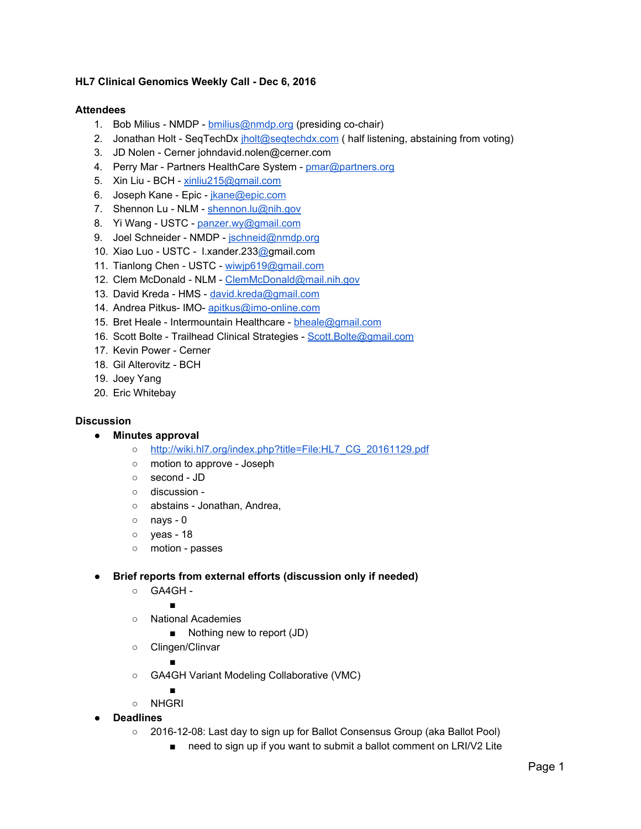## **HL7 Clinical Genomics Weekly Call - Dec 6, 2016**

## **Attendees**

- 1. Bob Milius NMDP [bmilius@nmdp.org](mailto:bmilius@nmdp.org) (presiding co-chair)
- 2. Jonathan Holt SeqTechDx [jholt@seqtechdx.com](mailto:jholt@seqtechdx.com) ( half listening, abstaining from voting)
- 3. JD Nolen Cerner johndavid.nolen@cerner.com
- 4. Perry Mar Partners HealthCare System - [pmar@partners.org](mailto:pmar@partners.org)
- 5. Xin Liu BCH [xinliu215@gmail.com](mailto:xinliu215@gmail.com)
- 6. Joseph Kane Epic *jkane@epic.com*
- 7. Shennon Lu NLM - [shennon.lu@nih.gov](mailto:shennon.lu@nih.gov)
- 8. Yi Wang USTC - [panzer.wy@gmail.com](mailto:panzer.wy@gmail.com)
- 9. Joel Schneider NMDP - [jschneid@nmdp.org](mailto:jschneid@nmdp.org)
- 10. Xiao Luo USTC l.xander.23[3@g](mailto:david.kreda@gmail.com)mail.com
- 11. Tianlong Chen USTC - [wiwjp619@gmail.com](mailto:wiwjp619@gmail.com)
- 12. Clem McDonald NLM - [ClemMcDonald@mail.nih.gov](mailto:ClemMcDonald@mail.nih.gov)
- 13. David Kreda HMS - [david.kreda@gmail.com](mailto:david.kreda@gmail.com)
- 14. Andrea Pitkus- IMO- [apitkus@imo-online.com](mailto:apitkus@imo-online.com)
- 15. Bret Heale Intermountain Healthcare [bheale@gmail.com](mailto:bheale@gmail.com)
- 16. Scott Bolte Trailhead Clinical Strategies - [Scott.Bolte@gmail.com](mailto:Scott.Bolte@gmail.com)
- 17. Kevin Power Cerner
- 18. Gil Alterovitz BCH
- 19. Joey Yang
- 20. Eric Whitebay

## **Discussion**

- **● Minutes approval**
	- o [http://wiki.hl7.org/index.php?title=File:HL7\\_CG\\_20161129.pdf](http://wiki.hl7.org/index.php?title=File:HL7_CG_20161129.pdf)
	- motion to approve Joseph
	- second JD
	- discussion -
	- o abstains Jonathan, Andrea,
	- nays 0
	- yeas 18
	- motion passes
- **● Brief reports from external efforts (discussion only if needed)**
	- GA4GH -

■

- National Academies
	- Nothing new to report (JD)
- Clingen/Clinvar

■

- GA4GH Variant Modeling Collaborative (VMC)
- ○ NHGRI
- **● Deadlines**
	- 2016-12-08: Last day to sign up for Ballot Consensus Group (aka Ballot Pool)
		- need to sign up if you want to submit a ballot comment on LRI/V2 Lite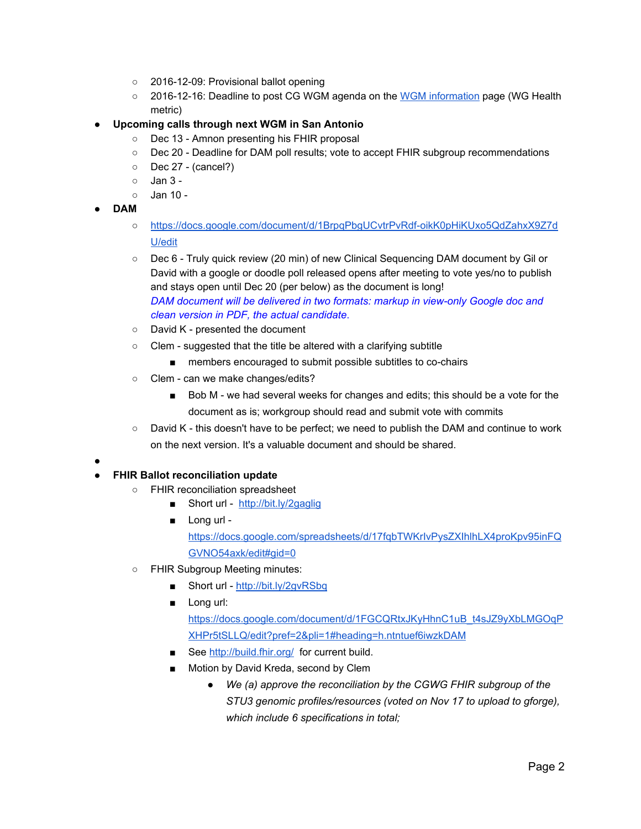- 2016-12-09: Provisional ballot opening
- 2016-12-16: Deadline to post CG WGM agenda on the [WGM information](https://urldefense.proofpoint.com/v2/url?u=http-3A__wiki.hl7.org_index.php-3Ftitle-3DWGM-5Finformation&d=CwMFAg&c=C_O335FEx-vf3XHLXGN8TO1BAxpi8-UjLCbu_DQ0pZI&r=ryg_9rF5dRVeoA6Q9Ubodw&m=xo7e1rlyKZLSDF2UDODPytxXYGafQv2SxSBr6T4LkfE&s=KjpC4Z8BbZYs0jDe18afk4INj9fAQdS5bSMH5Uld6qo&e=) page (WG Health metric)
- **● Upcoming calls through next WGM in San Antonio**
	- Dec 13 Amnon presenting his FHIR proposal
	- Dec 20 Deadline for DAM poll results; vote to accept FHIR subgroup recommendations
	- Dec 27 (cancel?)
	- $\circ$  Jan 3 -
	- Jan 10 -
- **● DAM**
	- [https://docs.google.com/document/d/1BrpqPbgUCvtrPvRdf-oikK0pHiKUxo5QdZahxX9Z7d](https://docs.google.com/document/d/1BrpqPbgUCvtrPvRdf-oikK0pHiKUxo5QdZahxX9Z7dU/edit) [U/edit](https://docs.google.com/document/d/1BrpqPbgUCvtrPvRdf-oikK0pHiKUxo5QdZahxX9Z7dU/edit)
	- Dec 6 Truly quick review (20 min) of new Clinical Sequencing DAM document by Gil or David with a google or doodle poll released opens after meeting to vote yes/no to publish and stays open until Dec 20 (per below) as the document is long! *DAM document will be delivered in two formats: markup in view-only Google doc and clean version in PDF, the actual candidate*.
	- David K presented the document
	- Clem suggested that the title be altered with a clarifying subtitle
		- members encouraged to submit possible subtitles to co-chairs
	- Clem can we make changes/edits?
		- Bob M we had several weeks for changes and edits; this should be a vote for the document as is; workgroup should read and submit vote with commits
	- David K this doesn't have to be perfect; we need to publish the DAM and continue to work on the next version. It's a valuable document and should be shared.
- **●**

## **● FHIR Ballot reconciliation update**

- FHIR reconciliation spreadsheet
	- Short url -<http://bit.ly/2gaglig>
	- Long url [https://docs.google.com/spreadsheets/d/17fqbTWKrIvPysZXIhlhLX4proKpv95inFQ](https://docs.google.com/spreadsheets/d/17fqbTWKrIvPysZXIhlhLX4proKpv95inFQGVNO54axk/edit#gid=0) [GVNO54axk/edit#gid=0](https://docs.google.com/spreadsheets/d/17fqbTWKrIvPysZXIhlhLX4proKpv95inFQGVNO54axk/edit#gid=0)
- FHIR Subgroup Meeting minutes:
	- Short url -<http://bit.ly/2gvRSbq>
	- Long url:

[https://docs.google.com/document/d/1FGCQRtxJKyHhnC1uB\\_t4sJZ9yXbLMGOqP](https://docs.google.com/document/d/1FGCQRtxJKyHhnC1uB_t4sJZ9yXbLMGOqPXHPr5tSLLQ/edit?pref=2&pli=1#heading=h.ntntuef6iwzkDAM) [XHPr5tSLLQ/edit?pref=2&pli=1#heading=h.ntntuef6iwzkDAM](https://docs.google.com/document/d/1FGCQRtxJKyHhnC1uB_t4sJZ9yXbLMGOqPXHPr5tSLLQ/edit?pref=2&pli=1#heading=h.ntntuef6iwzkDAM)

- See<http://build.fhir.org/>for current build.
- Motion by David Kreda, second by Clem
	- *● We (a) approve the reconciliation by the CGWG FHIR subgroup of the STU3 genomic profiles/resources (voted on Nov 17 to upload to gforge), which include 6 specifications in total;*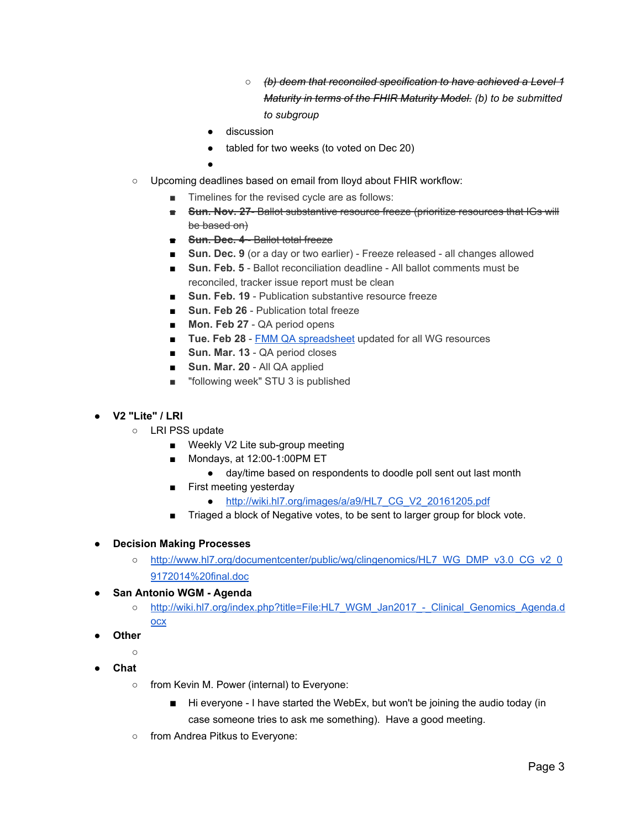- *○ (b) deem that reconciled specification to have achieved a Level 1 Maturity in terms of the FHIR Maturity Model. (b) to be submitted to subgroup*
- discussion
- tabled for two weeks (to voted on Dec 20)
- ●
- o Upcoming deadlines based on email from lloyd about FHIR workflow:
	- Timelines for the revised cycle are as follows:
	- **Sun. Nov. 27-** Ballot substantive resource freeze (prioritize resources that IGs will be based on)
	- **Sun. Dec. 4** Ballot total freeze
	- **Sun. Dec. 9** (or a day or two earlier) Freeze released all changes allowed
	- **Sun. Feb. 5** Ballot reconciliation deadline All ballot comments must be reconciled, tracker issue report must be clean
	- **Sun. Feb. 19** Publication substantive resource freeze
	- **Sun. Feb 26** Publication total freeze
	- **Mon. Feb 27** QA period opens
	- **Tue. Feb 28 FMM QA spreadsheet** updated for all WG resources
	- **Sun. Mar. 13** QA period closes
	- **Sun. Mar. 20** All QA applied
	- "following week" STU 3 is published
- **● V2 "Lite" / LRI**
	- LRI PSS update
		- Weekly V2 Lite sub-group meeting
		- Mondays, at 12:00-1:00 PM ET
			- day/time based on respondents to doodle poll sent out last month
		- First meeting yesterday
			- [http://wiki.hl7.org/images/a/a9/HL7\\_CG\\_V2\\_20161205.pdf](http://wiki.hl7.org/images/a/a9/HL7_CG_V2_20161205.pdf)
		- Triaged a block of Negative votes, to be sent to larger group for block vote.
- **● Decision Making Processes**
	- [http://www.hl7.org/documentcenter/public/wg/clingenomics/HL7\\_WG\\_DMP\\_v3.0\\_CG\\_v2\\_0](http://www.hl7.org/documentcenter/public/wg/clingenomics/HL7_WG_DMP_v3.0_CG_v2_09172014%20final.doc) [9172014%20final.doc](http://www.hl7.org/documentcenter/public/wg/clingenomics/HL7_WG_DMP_v3.0_CG_v2_09172014%20final.doc)
- **● San Antonio WGM - Agenda**
	- [http://wiki.hl7.org/index.php?title=File:HL7\\_WGM\\_Jan2017\\_-\\_Clinical\\_Genomics\\_Agenda.d](http://wiki.hl7.org/index.php?title=File:HL7_WGM_Jan2017_-_Clinical_Genomics_Agenda.docx) [ocx](http://wiki.hl7.org/index.php?title=File:HL7_WGM_Jan2017_-_Clinical_Genomics_Agenda.docx)
- **● Other**
	- **○**
- **● Chat**
	- from Kevin M. Power (internal) to Everyone:
		- Hi everyone I have started the WebEx, but won't be joining the audio today (in case someone tries to ask me something). Have a good meeting.
	- from Andrea Pitkus to Everyone: